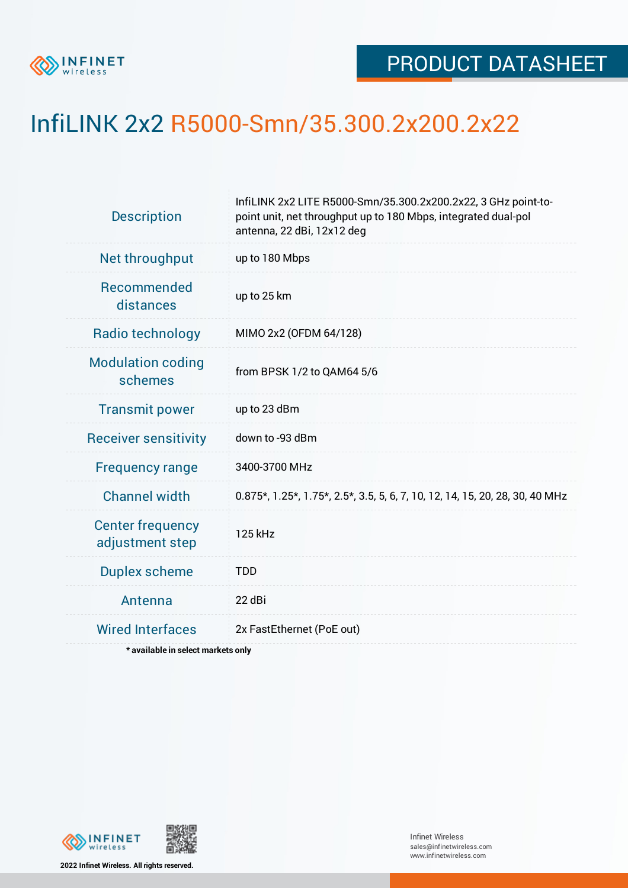

## InfiLINK 2x2 R5000-Smn/35.300.2x200.2x22

| InfiLINK 2x2 LITE R5000-Smn/35.300.2x200.2x22, 3 GHz point-to-<br>point unit, net throughput up to 180 Mbps, integrated dual-pol<br>antenna, 22 dBi, 12x12 deg |  |  |  |  |
|----------------------------------------------------------------------------------------------------------------------------------------------------------------|--|--|--|--|
| up to 180 Mbps                                                                                                                                                 |  |  |  |  |
| up to 25 km                                                                                                                                                    |  |  |  |  |
| MIMO 2x2 (OFDM 64/128)                                                                                                                                         |  |  |  |  |
| from BPSK 1/2 to QAM64 5/6                                                                                                                                     |  |  |  |  |
| up to 23 dBm                                                                                                                                                   |  |  |  |  |
| down to -93 dBm                                                                                                                                                |  |  |  |  |
| 3400-3700 MHz                                                                                                                                                  |  |  |  |  |
| 0.875*, 1.25*, 1.75*, 2.5*, 3.5, 5, 6, 7, 10, 12, 14, 15, 20, 28, 30, 40 MHz                                                                                   |  |  |  |  |
| 125 kHz                                                                                                                                                        |  |  |  |  |
| <b>TDD</b>                                                                                                                                                     |  |  |  |  |
| 22 dBi                                                                                                                                                         |  |  |  |  |
| 2x FastEthernet (PoE out)                                                                                                                                      |  |  |  |  |
|                                                                                                                                                                |  |  |  |  |

**\* available in select markets only**



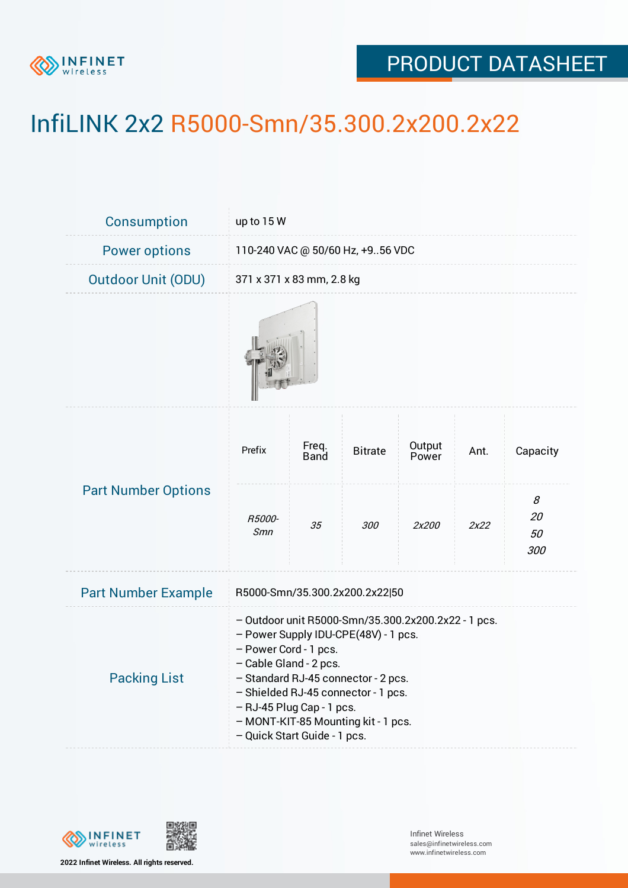

## PRODUCT DATASHEET

## InfiLINK 2x2 R5000-Smn/35.300.2x200.2x22

| Consumption                | up to 15 W                                                                                                                                                                                                                                                                                                                       |               |                |                 |      |                                 |  |
|----------------------------|----------------------------------------------------------------------------------------------------------------------------------------------------------------------------------------------------------------------------------------------------------------------------------------------------------------------------------|---------------|----------------|-----------------|------|---------------------------------|--|
| <b>Power options</b>       | 110-240 VAC @ 50/60 Hz, +956 VDC                                                                                                                                                                                                                                                                                                 |               |                |                 |      |                                 |  |
| <b>Outdoor Unit (ODU)</b>  | 371 x 371 x 83 mm, 2.8 kg                                                                                                                                                                                                                                                                                                        |               |                |                 |      |                                 |  |
|                            |                                                                                                                                                                                                                                                                                                                                  |               |                |                 |      |                                 |  |
| <b>Part Number Options</b> | Prefix                                                                                                                                                                                                                                                                                                                           | Freq.<br>Band | <b>Bitrate</b> | Output<br>Power | Ant. | Capacity                        |  |
|                            | R5000-<br>Smn                                                                                                                                                                                                                                                                                                                    | 35            | 300            | 2x200           | 2x22 | $\mathcal S$<br>20<br>50<br>300 |  |
| <b>Part Number Example</b> | R5000-Smn/35.300.2x200.2x22 50                                                                                                                                                                                                                                                                                                   |               |                |                 |      |                                 |  |
| <b>Packing List</b>        | - Outdoor unit R5000-Smn/35.300.2x200.2x22 - 1 pcs.<br>- Power Supply IDU-CPE(48V) - 1 pcs.<br>- Power Cord - 1 pcs.<br>- Cable Gland - 2 pcs.<br>- Standard RJ-45 connector - 2 pcs.<br>- Shielded RJ-45 connector - 1 pcs.<br>- RJ-45 Plug Cap - 1 pcs.<br>- MONT-KIT-85 Mounting kit - 1 pcs.<br>- Quick Start Guide - 1 pcs. |               |                |                 |      |                                 |  |



**2022 Infinet Wireless. All rights reserved.**

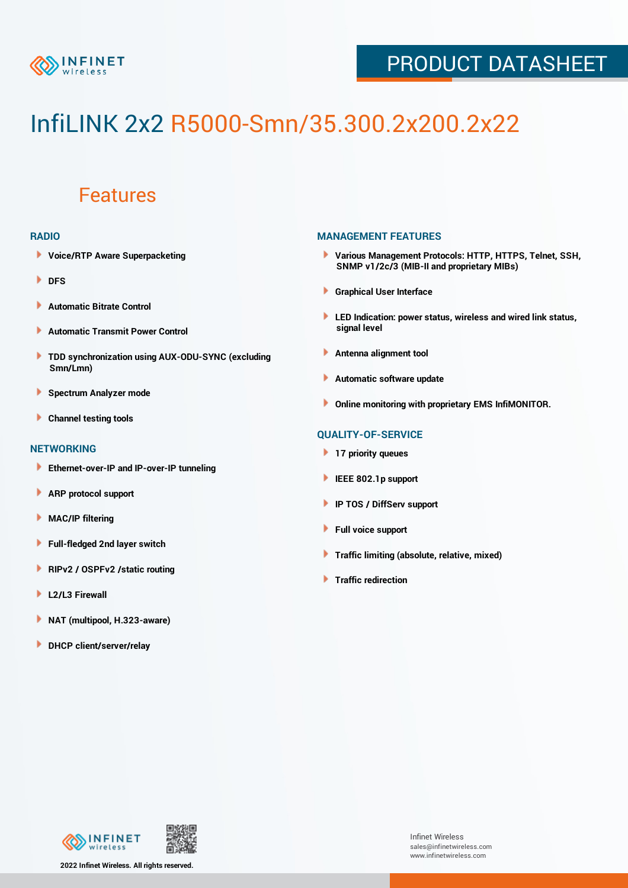

### PRODUCT DATASHEET

# InfiLINK 2x2 R5000-Smn/35.300.2x200.2x22

### Features

#### **RADIO**

- **Voice/RTP Aware Superpacketing**
- **DFS**
- **Automatic Bitrate Control** Þ
- Þ **Automatic Transmit Power Control**
- ь **TDD synchronization using AUX-ODU-SYNC (excluding Smn/Lmn)**
- **Spectrum Analyzer mode** ۰
- **Channel testing tools** ١

#### **NETWORKING**

- **Ethernet-over-IP and IP-over-IP tunneling**
- Þ **ARP protocol support**
- ۱ **MAC/IP filtering**
- Þ **Full-fledged 2nd layer switch**
- Þ **RIPv2 / OSPFv2 /static routing**
- **L2/L3 Firewall** Þ
- **NAT (multipool, H.323-aware)** Þ
- Þ **DHCP client/server/relay**

#### **MANAGEMENT FEATURES**

- **Various Management Protocols: HTTP, HTTPS, Telnet, SSH, SNMP v1/2c/3 (MIB-II and proprietary MIBs)**
- **Graphical User Interface**
- **LED Indication: power status, wireless and wired link status, signal level**
- **Antenna alignment tool**
- ٠ **Automatic software update**
- **Online monitoring with proprietary EMS InfiMONITOR.**

#### **QUALITY-OF-SERVICE**

- **17 priority queues**
- **IEEE 802.1p support**
- **IP TOS / DiffServ support**
- ٠ **Full voice support**
- **Traffic limiting (absolute, relative, mixed)** ٠
- **Traffic redirection**